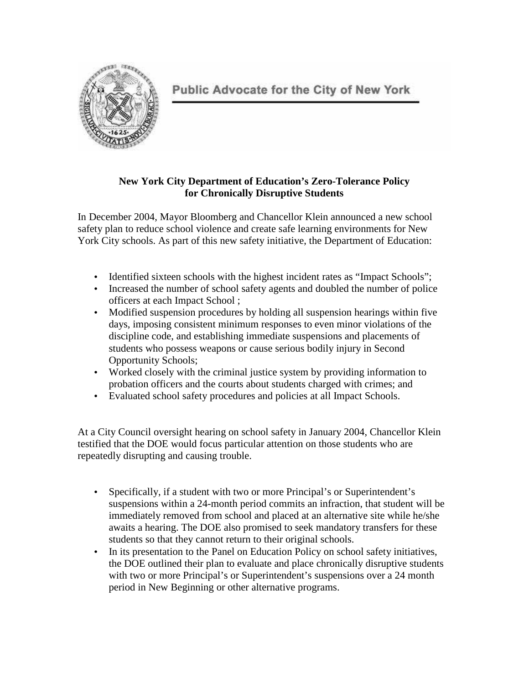

# **New York City Department of Education's Zero-Tolerance Policy for Chronically Disruptive Students**

In December 2004, Mayor Bloomberg and Chancellor Klein announced a new school safety plan to reduce school violence and create safe learning environments for New York City schools. As part of this new safety initiative, the Department of Education:

- Identified sixteen schools with the highest incident rates as "Impact Schools";
- Increased the number of school safety agents and doubled the number of police officers at each Impact School ;
- Modified suspension procedures by holding all suspension hearings within five days, imposing consistent minimum responses to even minor violations of the discipline code, and establishing immediate suspensions and placements of students who possess weapons or cause serious bodily injury in Second Opportunity Schools;
- Worked closely with the criminal justice system by providing information to probation officers and the courts about students charged with crimes; and
- Evaluated school safety procedures and policies at all Impact Schools.

At a City Council oversight hearing on school safety in January 2004, Chancellor Klein testified that the DOE would focus particular attention on those students who are repeatedly disrupting and causing trouble.

- Specifically, if a student with two or more Principal's or Superintendent's suspensions within a 24-month period commits an infraction, that student will be immediately removed from school and placed at an alternative site while he/she awaits a hearing. The DOE also promised to seek mandatory transfers for these students so that they cannot return to their original schools.
- In its presentation to the Panel on Education Policy on school safety initiatives, the DOE outlined their plan to evaluate and place chronically disruptive students with two or more Principal's or Superintendent's suspensions over a 24 month period in New Beginning or other alternative programs.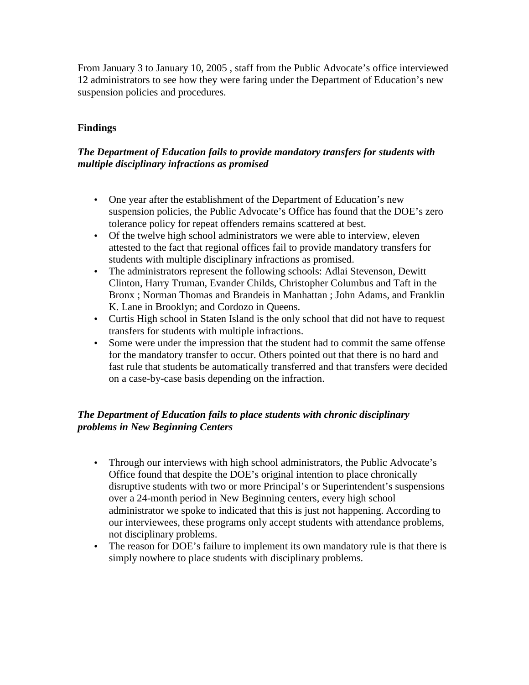From January 3 to January 10, 2005 , staff from the Public Advocate's office interviewed 12 administrators to see how they were faring under the Department of Education's new suspension policies and procedures.

# **Findings**

### *The Department of Education fails to provide mandatory transfers for students with multiple disciplinary infractions as promised*

- One year after the establishment of the Department of Education's new suspension policies, the Public Advocate's Office has found that the DOE's zero tolerance policy for repeat offenders remains scattered at best.
- Of the twelve high school administrators we were able to interview, eleven attested to the fact that regional offices fail to provide mandatory transfers for students with multiple disciplinary infractions as promised.
- The administrators represent the following schools: Adlai Stevenson, Dewitt Clinton, Harry Truman, Evander Childs, Christopher Columbus and Taft in the Bronx ; Norman Thomas and Brandeis in Manhattan ; John Adams, and Franklin K. Lane in Brooklyn; and Cordozo in Queens.
- Curtis High school in Staten Island is the only school that did not have to request transfers for students with multiple infractions.
- Some were under the impression that the student had to commit the same offense for the mandatory transfer to occur. Others pointed out that there is no hard and fast rule that students be automatically transferred and that transfers were decided on a case-by-case basis depending on the infraction.

### *The Department of Education fails to place students with chronic disciplinary problems in New Beginning Centers*

- Through our interviews with high school administrators, the Public Advocate's Office found that despite the DOE's original intention to place chronically disruptive students with two or more Principal's or Superintendent's suspensions over a 24-month period in New Beginning centers, every high school administrator we spoke to indicated that this is just not happening. According to our interviewees, these programs only accept students with attendance problems, not disciplinary problems.
- The reason for DOE's failure to implement its own mandatory rule is that there is simply nowhere to place students with disciplinary problems.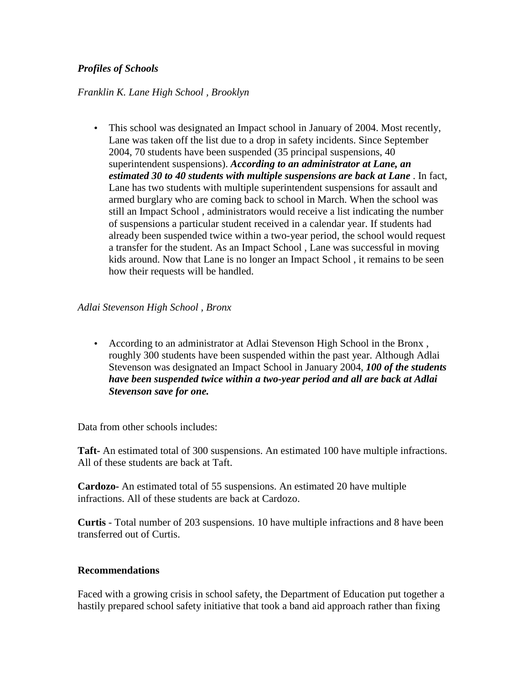### *Profiles of Schools*

#### *Franklin K. Lane High School , Brooklyn*

• This school was designated an Impact school in January of 2004. Most recently, Lane was taken off the list due to a drop in safety incidents. Since September 2004, 70 students have been suspended (35 principal suspensions, 40 superintendent suspensions). *According to an administrator at Lane, an estimated 30 to 40 students with multiple suspensions are back at Lane* . In fact, Lane has two students with multiple superintendent suspensions for assault and armed burglary who are coming back to school in March. When the school was still an Impact School , administrators would receive a list indicating the number of suspensions a particular student received in a calendar year. If students had already been suspended twice within a two-year period, the school would request a transfer for the student. As an Impact School , Lane was successful in moving kids around. Now that Lane is no longer an Impact School , it remains to be seen how their requests will be handled.

#### *Adlai Stevenson High School , Bronx*

• According to an administrator at Adlai Stevenson High School in the Bronx , roughly 300 students have been suspended within the past year. Although Adlai Stevenson was designated an Impact School in January 2004, *100 of the students have been suspended twice within a two-year period and all are back at Adlai Stevenson save for one.* 

Data from other schools includes:

**Taft-** An estimated total of 300 suspensions. An estimated 100 have multiple infractions. All of these students are back at Taft.

**Cardozo-** An estimated total of 55 suspensions. An estimated 20 have multiple infractions. All of these students are back at Cardozo.

**Curtis** - Total number of 203 suspensions. 10 have multiple infractions and 8 have been transferred out of Curtis.

### **Recommendations**

Faced with a growing crisis in school safety, the Department of Education put together a hastily prepared school safety initiative that took a band aid approach rather than fixing